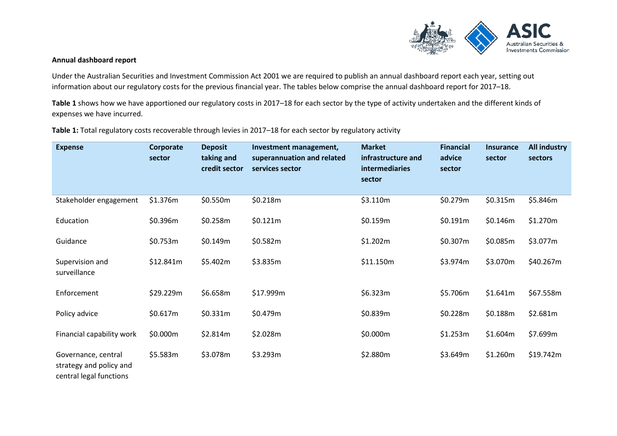

#### **Annual dashboard report**

Under the Australian Securities and Investment Commission Act 2001 we are required to publish an annual dashboard report each year, setting out information about our regulatory costs for the previous financial year. The tables below comprise the annual dashboard report for 2017–18.

**[Table](#page-0-0) 1** shows how we have apportioned our regulatory costs in 2017–18 for each sector by the type of activity undertaken and the different kinds of expenses we have incurred.

<span id="page-0-0"></span>**Table 1:** Total regulatory costs recoverable through levies in 2017–18 for each sector by regulatory activity

| <b>Expense</b>                                                            | Corporate<br>sector | <b>Deposit</b><br>taking and<br>credit sector | Investment management,<br>superannuation and related<br>services sector | <b>Market</b><br>infrastructure and<br>intermediaries<br>sector | <b>Financial</b><br>advice<br>sector | <b>Insurance</b><br>sector | <b>All industry</b><br>sectors |
|---------------------------------------------------------------------------|---------------------|-----------------------------------------------|-------------------------------------------------------------------------|-----------------------------------------------------------------|--------------------------------------|----------------------------|--------------------------------|
| Stakeholder engagement                                                    | \$1.376m            | \$0.550m                                      | \$0.218m                                                                | \$3.110m                                                        | \$0.279m                             | \$0.315m                   | \$5.846m                       |
| Education                                                                 | \$0.396m            | \$0.258m                                      | \$0.121m                                                                | \$0.159m                                                        | \$0.191m                             | \$0.146m                   | \$1.270m                       |
| Guidance                                                                  | \$0.753m            | \$0.149m                                      | \$0.582m                                                                | \$1.202m                                                        | \$0.307m                             | \$0.085m                   | \$3.077m                       |
| Supervision and<br>surveillance                                           | \$12.841m           | \$5.402m                                      | \$3.835m                                                                | \$11.150m                                                       | \$3.974m                             | \$3.070m                   | \$40.267m                      |
| Enforcement                                                               | \$29.229m           | \$6.658m                                      | \$17.999m                                                               | \$6.323m                                                        | \$5.706m                             | \$1.641m                   | \$67.558m                      |
| Policy advice                                                             | \$0.617m            | \$0.331m                                      | \$0.479m                                                                | \$0.839m                                                        | \$0.228m                             | \$0.188m                   | \$2.681m                       |
| Financial capability work                                                 | \$0.000m            | \$2.814m                                      | \$2.028m                                                                | \$0.000m                                                        | \$1.253m                             | \$1.604m                   | \$7.699m                       |
| Governance, central<br>strategy and policy and<br>central legal functions | \$5.583m            | \$3.078m                                      | \$3.293m                                                                | \$2.880m                                                        | \$3.649m                             | \$1.260m                   | \$19.742m                      |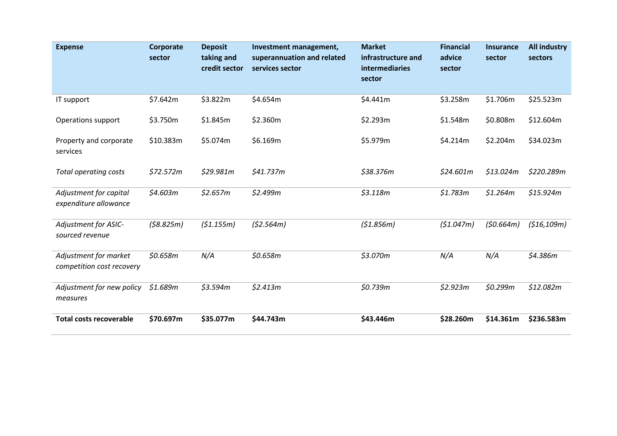| <b>Expense</b>                                     | Corporate<br>sector | <b>Deposit</b><br>taking and<br>credit sector | Investment management,<br>superannuation and related<br>services sector | <b>Market</b><br>infrastructure and<br><b>intermediaries</b><br>sector | <b>Financial</b><br>advice<br>sector | <b>Insurance</b><br>sector | <b>All industry</b><br>sectors |
|----------------------------------------------------|---------------------|-----------------------------------------------|-------------------------------------------------------------------------|------------------------------------------------------------------------|--------------------------------------|----------------------------|--------------------------------|
| IT support                                         | \$7.642m            | \$3.822m                                      | \$4.654m                                                                | \$4.441m                                                               | \$3.258m                             | \$1.706m                   | \$25.523m                      |
| Operations support                                 | \$3.750m            | \$1.845m                                      | \$2.360m                                                                | \$2.293m                                                               | \$1.548m                             | \$0.808m                   | \$12.604m                      |
| Property and corporate<br>services                 | \$10.383m           | \$5.074m                                      | \$6.169m                                                                | \$5.979m                                                               | \$4.214m                             | \$2.204m                   | \$34.023m                      |
| Total operating costs                              | \$72.572m           | \$29.981m                                     | \$41.737m                                                               | \$38.376m                                                              | \$24.601m                            | \$13.024m                  | \$220.289m                     |
| Adjustment for capital<br>expenditure allowance    | \$4.603m            | \$2.657m                                      | \$2.499m                                                                | \$3.118m                                                               | \$1.783m                             | \$1.264m                   | \$15.924m                      |
| Adjustment for ASIC-<br>sourced revenue            | (58.825m)           | (\$1.155m)                                    | (52.564m)                                                               | (\$1.856m)                                                             | (\$1.047m)                           | (50.664m)                  | (\$16,109m)                    |
| Adjustment for market<br>competition cost recovery | \$0.658m            | N/A                                           | \$0.658m                                                                | \$3.070m                                                               | N/A                                  | N/A                        | \$4.386m                       |
| Adjustment for new policy<br>measures              | \$1.689m            | \$3.594m                                      | \$2.413m                                                                | \$0.739m                                                               | \$2.923m                             | \$0.299m                   | \$12.082m                      |
| <b>Total costs recoverable</b>                     | \$70.697m           | \$35.077m                                     | \$44.743m                                                               | \$43.446m                                                              | \$28.260m                            | \$14.361m                  | \$236.583m                     |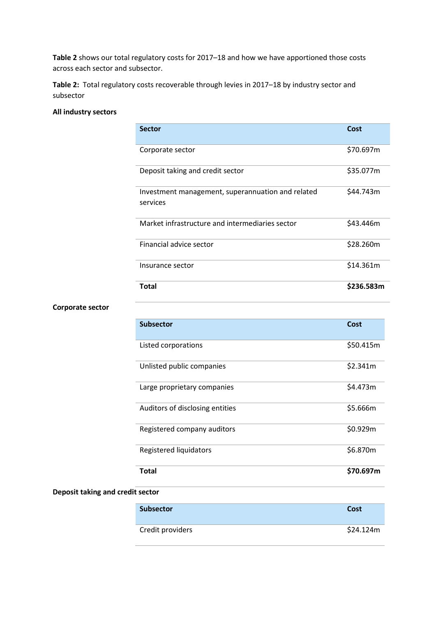**[Table 2](#page-2-0)** shows our total regulatory costs for 2017–18 and how we have apportioned those costs across each sector and subsector.

<span id="page-2-0"></span>**Table 2:** Total regulatory costs recoverable through levies in 2017–18 by industry sector and subsector

## **All industry sectors**

| <b>Sector</b>                                                 | Cost      |
|---------------------------------------------------------------|-----------|
| Corporate sector                                              | \$70.697m |
| Deposit taking and credit sector                              | \$35.077m |
| Investment management, superannuation and related<br>services | \$44.743m |
| Market infrastructure and intermediaries sector               | \$43.446m |
| Financial advice sector                                       | \$28.260m |
| Insurance sector                                              | \$14.361m |
| Total                                                         | S236.583m |

### **Corporate sector**

| <b>Subsector</b>                | Cost      |
|---------------------------------|-----------|
| Listed corporations             | \$50.415m |
| Unlisted public companies       | \$2.341m  |
| Large proprietary companies     | \$4.473m  |
| Auditors of disclosing entities | \$5.666m  |
| Registered company auditors     | \$0.929m  |
| Registered liquidators          | \$6.870m  |
| <b>Total</b>                    | \$70.697m |

## **Deposit taking and credit sector**

| <b>Subsector</b> | Cost      |
|------------------|-----------|
| Credit providers | \$24.124m |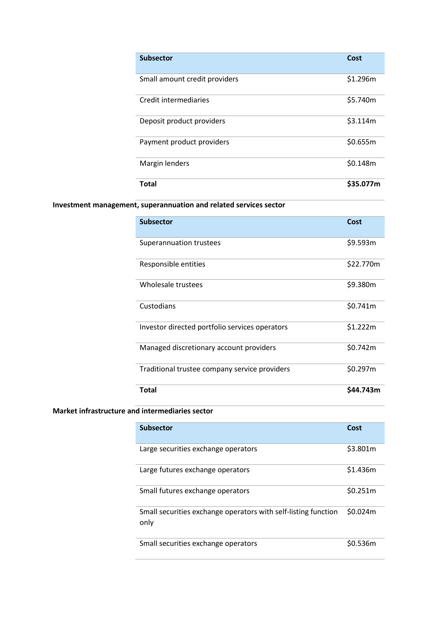| <b>Subsector</b>              | Cost      |
|-------------------------------|-----------|
| Small amount credit providers | \$1.296m  |
| Credit intermediaries         | \$5.740m  |
| Deposit product providers     | \$3.114m  |
| Payment product providers     | \$0.655m  |
| Margin lenders                | \$0.148m  |
| Total                         | \$35.077m |

# **Investment management, superannuation and related services sector**

| <b>Subsector</b>                               | Cost      |
|------------------------------------------------|-----------|
| Superannuation trustees                        | \$9.593m  |
| Responsible entities                           | \$22.770m |
| Wholesale trustees                             | \$9.380m  |
| Custodians                                     | \$0.741m  |
| Investor directed portfolio services operators | \$1.222m  |
| Managed discretionary account providers        | \$0.742m  |
| Traditional trustee company service providers  | \$0.297m  |
| <b>Total</b>                                   | \$44.743m |

## **Market infrastructure and intermediaries sector**

| <b>Subsector</b>                                                       | Cost     |
|------------------------------------------------------------------------|----------|
| Large securities exchange operators                                    | \$3.801m |
| Large futures exchange operators                                       | \$1.436m |
| Small futures exchange operators                                       | \$0.251m |
| Small securities exchange operators with self-listing function<br>only | \$0.024m |
| Small securities exchange operators                                    | S0.536m  |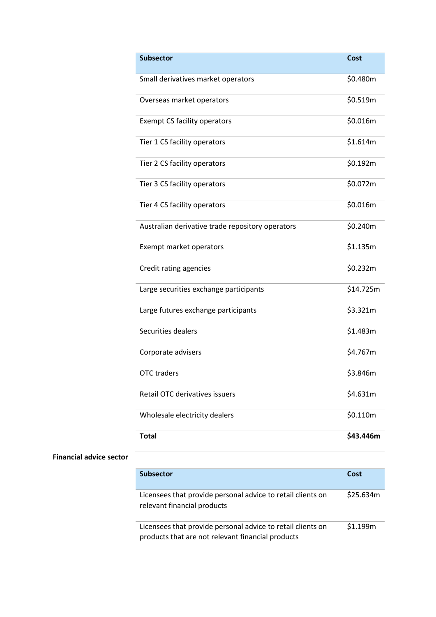| <b>Subsector</b>                                 | Cost      |
|--------------------------------------------------|-----------|
| Small derivatives market operators               | \$0.480m  |
| Overseas market operators                        | \$0.519m  |
| Exempt CS facility operators                     | \$0.016m  |
| Tier 1 CS facility operators                     | \$1.614m  |
| Tier 2 CS facility operators                     | \$0.192m  |
| Tier 3 CS facility operators                     | \$0.072m  |
| Tier 4 CS facility operators                     | \$0.016m  |
| Australian derivative trade repository operators | \$0.240m  |
| Exempt market operators                          | \$1.135m  |
| Credit rating agencies                           | \$0.232m  |
| Large securities exchange participants           | \$14.725m |
| Large futures exchange participants              | \$3.321m  |
| Securities dealers                               | \$1.483m  |
| Corporate advisers                               | \$4.767m  |
| <b>OTC</b> traders                               | \$3.846m  |
| Retail OTC derivatives issuers                   | \$4.631m  |
| Wholesale electricity dealers                    | \$0.110m  |
| <b>Total</b>                                     | \$43.446m |

## **Financial advice sector**

| <b>Subsector</b>                                                                                                 | Cost      |
|------------------------------------------------------------------------------------------------------------------|-----------|
| Licensees that provide personal advice to retail clients on<br>relevant financial products                       | \$25.634m |
| Licensees that provide personal advice to retail clients on<br>products that are not relevant financial products | \$1.199m  |